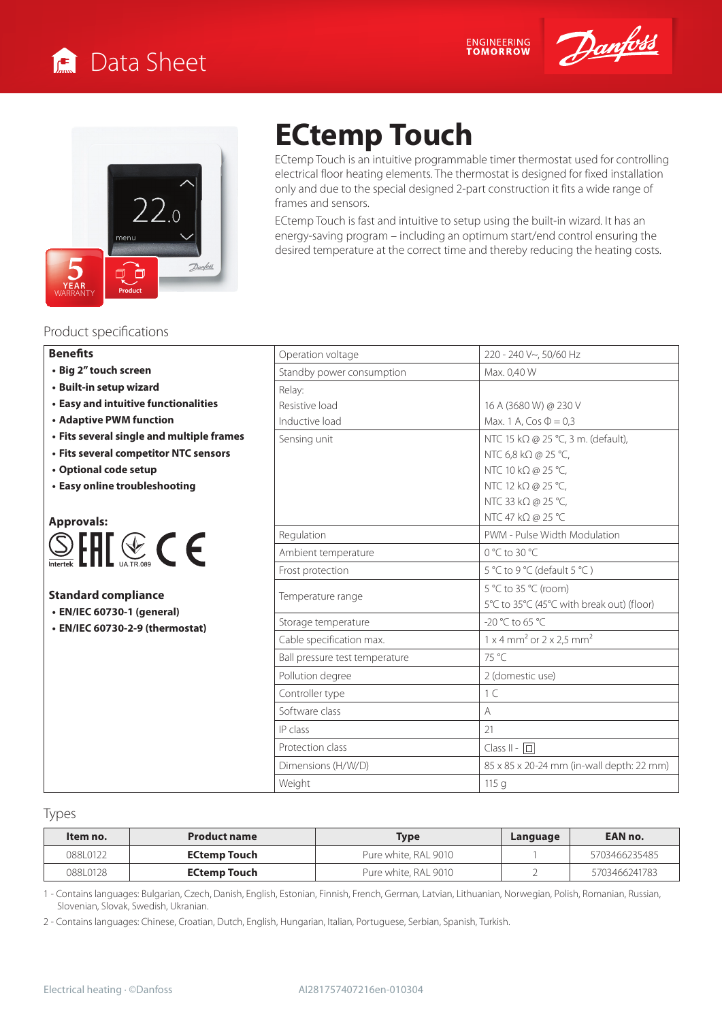



## **ECtemp Touch**

ECtemp Touch is an intuitive programmable timer thermostat used for controlling electrical floor heating elements. The thermostat is designed for fixed installation only and due to the special designed 2-part construction it fits a wide range of frames and sensors.

ECtemp Touch is fast and intuitive to setup using the built-in wizard. It has an energy-saving program – including an optimum start/end control ensuring the desired temperature at the correct time and thereby reducing the heating costs.

## Product specifications

| <b>Benefits</b>                           | Operation voltage<br>220 - 240 V~, 50/60 Hz |                                                                |  |
|-------------------------------------------|---------------------------------------------|----------------------------------------------------------------|--|
| • Big 2" touch screen                     | Standby power consumption                   | Max. 0,40 W                                                    |  |
| • Built-in setup wizard                   | Relay:                                      |                                                                |  |
| • Easy and intuitive functionalities      | Resistive load<br>16 A (3680 W) @ 230 V     |                                                                |  |
| • Adaptive PWM function                   | Inductive load                              | Max. 1 A, Cos $\Phi = 0.3$                                     |  |
| • Fits several single and multiple frames | Sensing unit                                | NTC 15 kΩ @ 25 °C, 3 m. (default),                             |  |
| • Fits several competitor NTC sensors     | NTC 6,8 kΩ @ 25 °C,                         |                                                                |  |
| • Optional code setup                     | NTC 10 kΩ @ 25 °C,                          |                                                                |  |
| • Easy online troubleshooting             |                                             | NTC 12 kΩ @ 25 °C,                                             |  |
|                                           |                                             | NTC 33 kΩ @ 25 °C,                                             |  |
| <b>Approvals:</b>                         |                                             | NTC 47 k $\Omega$ @ 25 °C                                      |  |
| $\text{SFR} \otimes C$                    | Regulation                                  | PWM - Pulse Width Modulation                                   |  |
|                                           | Ambient temperature                         | $0^{\circ}$ C to 30 $^{\circ}$ C                               |  |
|                                           | Frost protection                            | 5 °C to 9 °C (default 5 °C)                                    |  |
| <b>Standard compliance</b>                | Temperature range                           | 5 °C to 35 °C (room)                                           |  |
| • EN/IEC 60730-1 (general)                |                                             | 5°C to 35°C (45°C with break out) (floor)                      |  |
| • EN/IEC 60730-2-9 (thermostat)           | Storage temperature                         | -20 °C to 65 °C                                                |  |
|                                           | Cable specification max.                    | $1 \times 4$ mm <sup>2</sup> or $2 \times 2.5$ mm <sup>2</sup> |  |
|                                           | Ball pressure test temperature              | 75 °C                                                          |  |
|                                           | Pollution degree                            | 2 (domestic use)                                               |  |
|                                           | Controller type                             | 1 <sup>C</sup>                                                 |  |
|                                           | Software class                              | A                                                              |  |
|                                           | IP class                                    | 21                                                             |  |
|                                           | Protection class                            | Class II - $\Box$                                              |  |
|                                           | Dimensions (H/W/D)                          | 85 x 85 x 20-24 mm (in-wall depth: 22 mm)                      |  |
|                                           | Weight                                      | 115g                                                           |  |

## Types

| Item no.  | <b>Product name</b> | <b>Type</b>          | Language | EAN no.       |
|-----------|---------------------|----------------------|----------|---------------|
| 0881 0122 | <b>ECtemp Touch</b> | Pure white, RAL 9010 |          | 5703466235485 |
| 088L0128  | ECtemp Touch        | Pure white, RAL 9010 |          | 5703466241783 |

1 - Contains languages: Bulgarian, Czech, Danish, English, Estonian, Finnish, French, German, Latvian, Lithuanian, Norwegian, Polish, Romanian, Russian, Slovenian, Slovak, Swedish, Ukranian.

2 - Contains languages: Chinese, Croatian, Dutch, English, Hungarian, Italian, Portuguese, Serbian, Spanish, Turkish.